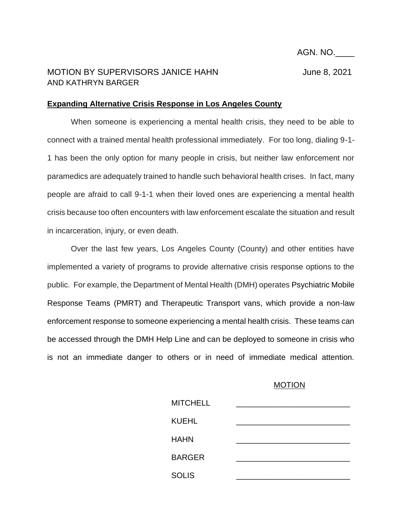AGN. NO.\_\_\_\_

## MOTION BY SUPERVISORS JANICE HAHN June 8, 2021 AND KATHRYN BARGER

## **Expanding Alternative Crisis Response in Los Angeles County**

When someone is experiencing a mental health crisis, they need to be able to connect with a trained mental health professional immediately. For too long, dialing 9-1- 1 has been the only option for many people in crisis, but neither law enforcement nor paramedics are adequately trained to handle such behavioral health crises. In fact, many people are afraid to call 9-1-1 when their loved ones are experiencing a mental health crisis because too often encounters with law enforcement escalate the situation and result in incarceration, injury, or even death.

Over the last few years, Los Angeles County (County) and other entities have implemented a variety of programs to provide alternative crisis response options to the public. For example, the Department of Mental Health (DMH) operates Psychiatric Mobile Response Teams (PMRT) and Therapeutic Transport vans, which provide a non-law enforcement response to someone experiencing a mental health crisis. These teams can be accessed through the DMH Help Line and can be deployed to someone in crisis who is not an immediate danger to others or in need of immediate medical attention.

## MOTION

| <b>MITCHELL</b> |  |  |
|-----------------|--|--|
| <b>KUEHL</b>    |  |  |
| <b>HAHN</b>     |  |  |
| <b>BARGER</b>   |  |  |
| <b>SOLIS</b>    |  |  |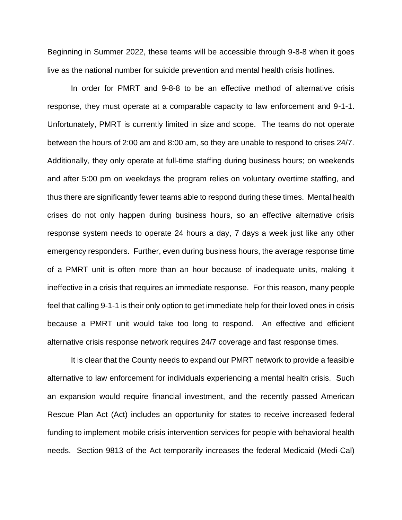Beginning in Summer 2022, these teams will be accessible through 9-8-8 when it goes live as the national number for suicide prevention and mental health crisis hotlines.

In order for PMRT and 9-8-8 to be an effective method of alternative crisis response, they must operate at a comparable capacity to law enforcement and 9-1-1. Unfortunately, PMRT is currently limited in size and scope. The teams do not operate between the hours of 2:00 am and 8:00 am, so they are unable to respond to crises 24/7. Additionally, they only operate at full-time staffing during business hours; on weekends and after 5:00 pm on weekdays the program relies on voluntary overtime staffing, and thus there are significantly fewer teams able to respond during these times. Mental health crises do not only happen during business hours, so an effective alternative crisis response system needs to operate 24 hours a day, 7 days a week just like any other emergency responders. Further, even during business hours, the average response time of a PMRT unit is often more than an hour because of inadequate units, making it ineffective in a crisis that requires an immediate response. For this reason, many people feel that calling 9-1-1 is their only option to get immediate help for their loved ones in crisis because a PMRT unit would take too long to respond. An effective and efficient alternative crisis response network requires 24/7 coverage and fast response times.

It is clear that the County needs to expand our PMRT network to provide a feasible alternative to law enforcement for individuals experiencing a mental health crisis. Such an expansion would require financial investment, and the recently passed American Rescue Plan Act (Act) includes an opportunity for states to receive increased federal funding to implement mobile crisis intervention services for people with behavioral health needs. Section 9813 of the Act temporarily increases the federal Medicaid (Medi-Cal)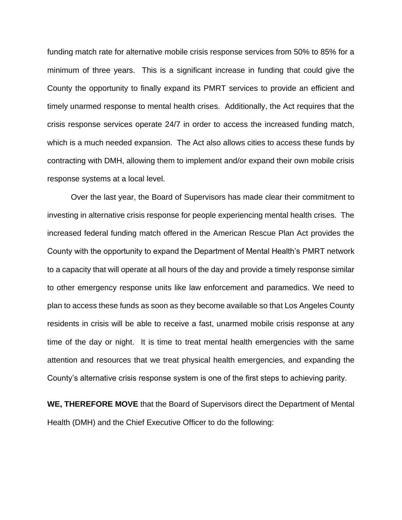funding match rate for alternative mobile crisis response services from 50% to 85% for a minimum of three years. This is a significant increase in funding that could give the County the opportunity to finally expand its PMRT services to provide an efficient and timely unarmed response to mental health crises. Additionally, the Act requires that the crisis response services operate 24/7 in order to access the increased funding match, which is a much needed expansion. The Act also allows cities to access these funds by contracting with DMH, allowing them to implement and/or expand their own mobile crisis response systems at a local level.

Over the last year, the Board of Supervisors has made clear their commitment to investing in alternative crisis response for people experiencing mental health crises. The increased federal funding match offered in the American Rescue Plan Act provides the County with the opportunity to expand the Department of Mental Health's PMRT network to a capacity that will operate at all hours of the day and provide a timely response similar to other emergency response units like law enforcement and paramedics. We need to plan to access these funds as soon as they become available so that Los Angeles County residents in crisis will be able to receive a fast, unarmed mobile crisis response at any time of the day or night. It is time to treat mental health emergencies with the same attention and resources that we treat physical health emergencies, and expanding the County's alternative crisis response system is one of the first steps to achieving parity.

**WE, THEREFORE MOVE** that the Board of Supervisors direct the Department of Mental Health (DMH) and the Chief Executive Officer to do the following: